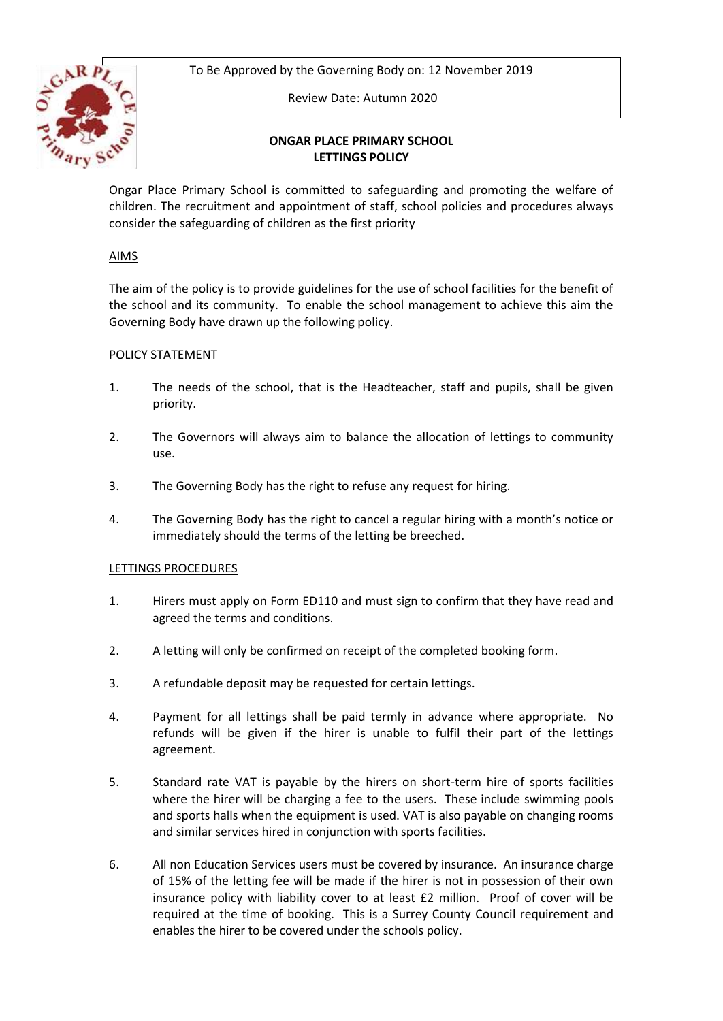To Be Approved by the Governing Body on: 12 November 2019



Review Date: Autumn 2020

# **ONGAR PLACE PRIMARY SCHOOL LETTINGS POLICY**

Ongar Place Primary School is committed to safeguarding and promoting the welfare of children. The recruitment and appointment of staff, school policies and procedures always consider the safeguarding of children as the first priority

# AIMS

The aim of the policy is to provide guidelines for the use of school facilities for the benefit of the school and its community. To enable the school management to achieve this aim the Governing Body have drawn up the following policy.

# POLICY STATEMENT

- 1. The needs of the school, that is the Headteacher, staff and pupils, shall be given priority.
- 2. The Governors will always aim to balance the allocation of lettings to community use.
- 3. The Governing Body has the right to refuse any request for hiring.
- 4. The Governing Body has the right to cancel a regular hiring with a month's notice or immediately should the terms of the letting be breeched.

# LETTINGS PROCEDURES

- 1. Hirers must apply on Form ED110 and must sign to confirm that they have read and agreed the terms and conditions.
- 2. A letting will only be confirmed on receipt of the completed booking form.
- 3. A refundable deposit may be requested for certain lettings.
- 4. Payment for all lettings shall be paid termly in advance where appropriate. No refunds will be given if the hirer is unable to fulfil their part of the lettings agreement.
- 5. Standard rate VAT is payable by the hirers on short-term hire of sports facilities where the hirer will be charging a fee to the users. These include swimming pools and sports halls when the equipment is used. VAT is also payable on changing rooms and similar services hired in conjunction with sports facilities.
- 6. All non Education Services users must be covered by insurance. An insurance charge of 15% of the letting fee will be made if the hirer is not in possession of their own insurance policy with liability cover to at least £2 million. Proof of cover will be required at the time of booking. This is a Surrey County Council requirement and enables the hirer to be covered under the schools policy.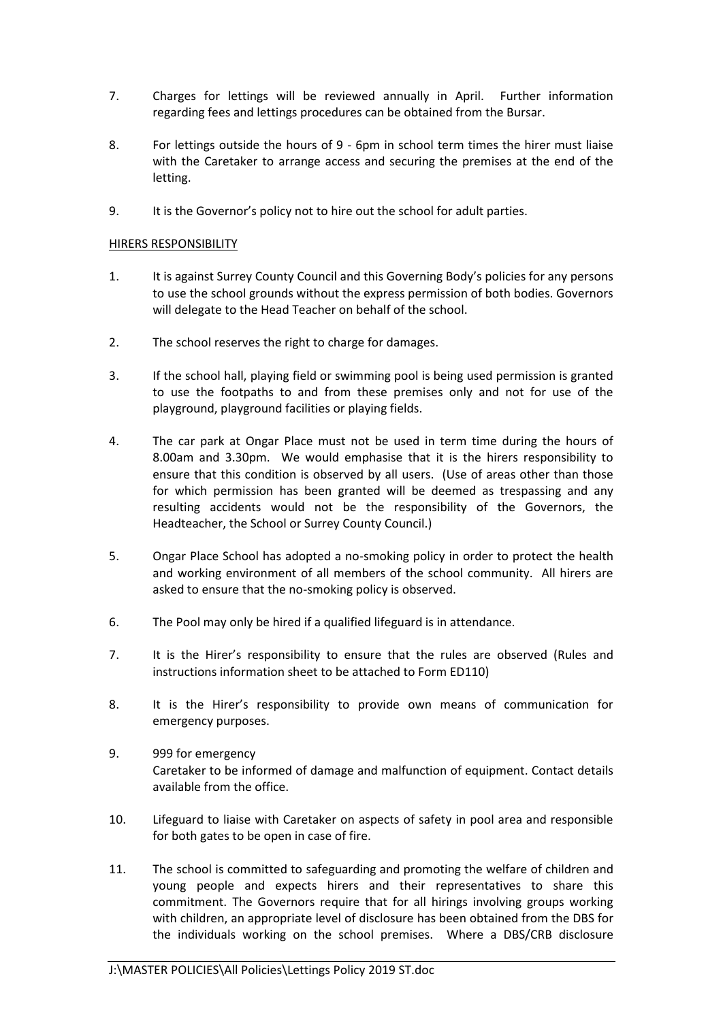- 7. Charges for lettings will be reviewed annually in April. Further information regarding fees and lettings procedures can be obtained from the Bursar.
- 8. For lettings outside the hours of 9 6pm in school term times the hirer must liaise with the Caretaker to arrange access and securing the premises at the end of the letting.
- 9. It is the Governor's policy not to hire out the school for adult parties.

### HIRERS RESPONSIBILITY

- 1. It is against Surrey County Council and this Governing Body's policies for any persons to use the school grounds without the express permission of both bodies. Governors will delegate to the Head Teacher on behalf of the school.
- 2. The school reserves the right to charge for damages.
- 3. If the school hall, playing field or swimming pool is being used permission is granted to use the footpaths to and from these premises only and not for use of the playground, playground facilities or playing fields.
- 4. The car park at Ongar Place must not be used in term time during the hours of 8.00am and 3.30pm. We would emphasise that it is the hirers responsibility to ensure that this condition is observed by all users. (Use of areas other than those for which permission has been granted will be deemed as trespassing and any resulting accidents would not be the responsibility of the Governors, the Headteacher, the School or Surrey County Council.)
- 5. Ongar Place School has adopted a no-smoking policy in order to protect the health and working environment of all members of the school community. All hirers are asked to ensure that the no-smoking policy is observed.
- 6. The Pool may only be hired if a qualified lifeguard is in attendance.
- 7. It is the Hirer's responsibility to ensure that the rules are observed (Rules and instructions information sheet to be attached to Form ED110)
- 8. It is the Hirer's responsibility to provide own means of communication for emergency purposes.
- 9. 999 for emergency Caretaker to be informed of damage and malfunction of equipment. Contact details available from the office.
- 10. Lifeguard to liaise with Caretaker on aspects of safety in pool area and responsible for both gates to be open in case of fire.
- 11. The school is committed to safeguarding and promoting the welfare of children and young people and expects hirers and their representatives to share this commitment. The Governors require that for all hirings involving groups working with children, an appropriate level of disclosure has been obtained from the DBS for the individuals working on the school premises. Where a DBS/CRB disclosure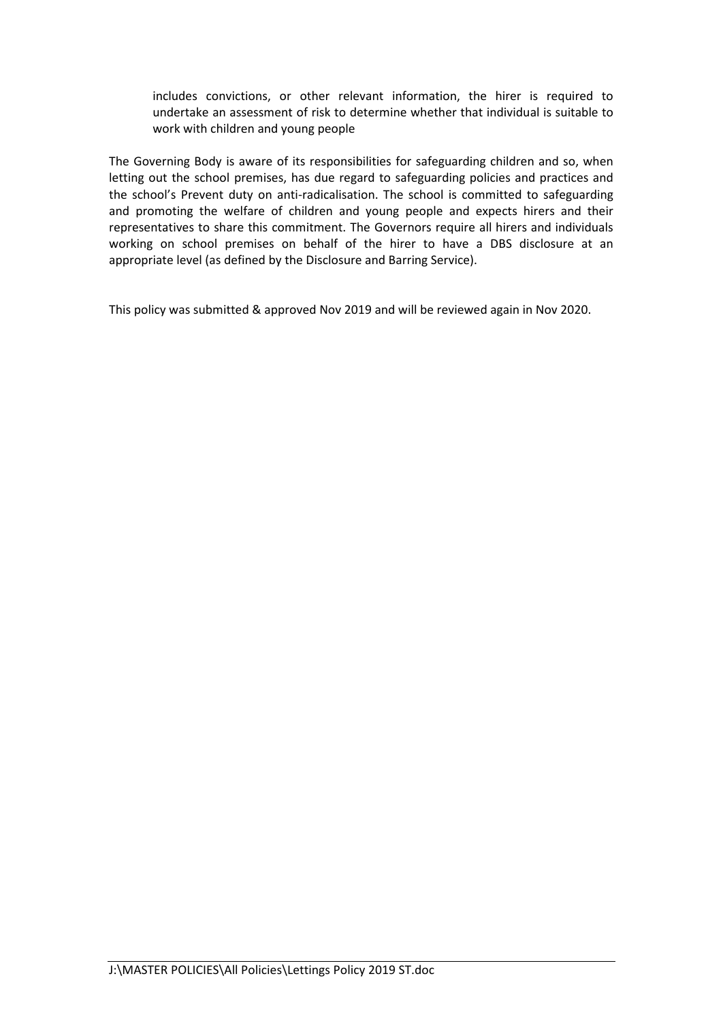includes convictions, or other relevant information, the hirer is required to undertake an assessment of risk to determine whether that individual is suitable to work with children and young people

The Governing Body is aware of its responsibilities for safeguarding children and so, when letting out the school premises, has due regard to safeguarding policies and practices and the school's Prevent duty on anti-radicalisation. The school is committed to safeguarding and promoting the welfare of children and young people and expects hirers and their representatives to share this commitment. The Governors require all hirers and individuals working on school premises on behalf of the hirer to have a DBS disclosure at an appropriate level (as defined by the Disclosure and Barring Service).

This policy was submitted & approved Nov 2019 and will be reviewed again in Nov 2020.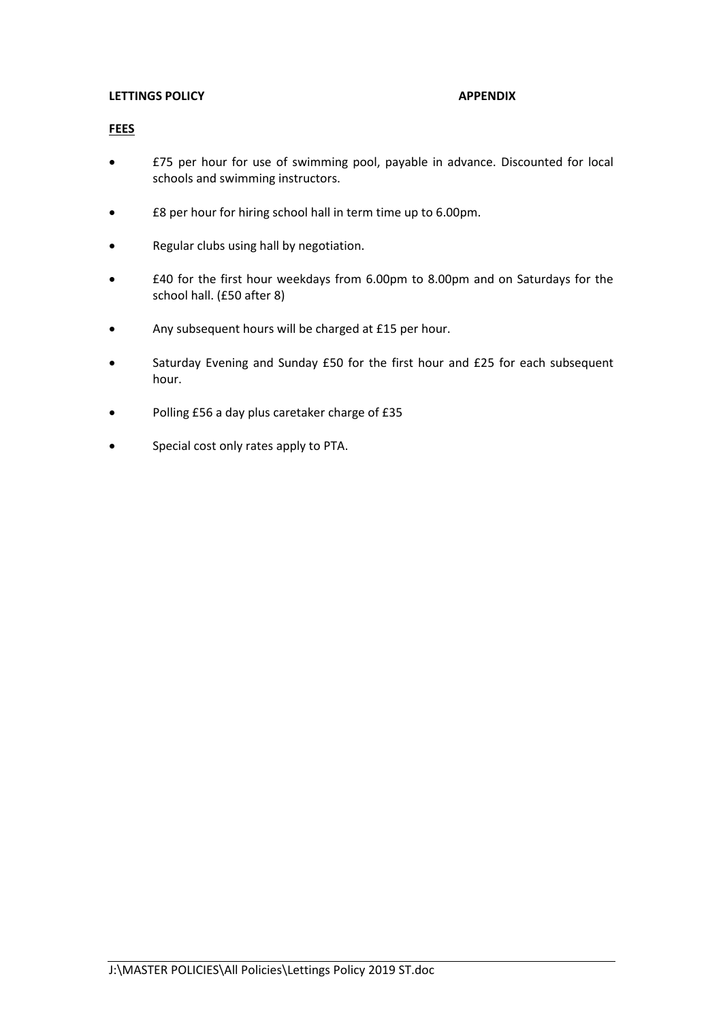### **LETTINGS POLICY APPENDIX**

### **FEES**

- £75 per hour for use of swimming pool, payable in advance. Discounted for local schools and swimming instructors.
- £8 per hour for hiring school hall in term time up to 6.00pm.
- Regular clubs using hall by negotiation.
- £40 for the first hour weekdays from 6.00pm to 8.00pm and on Saturdays for the school hall. (£50 after 8)
- Any subsequent hours will be charged at £15 per hour.
- Saturday Evening and Sunday £50 for the first hour and £25 for each subsequent hour.
- Polling £56 a day plus caretaker charge of £35
- Special cost only rates apply to PTA.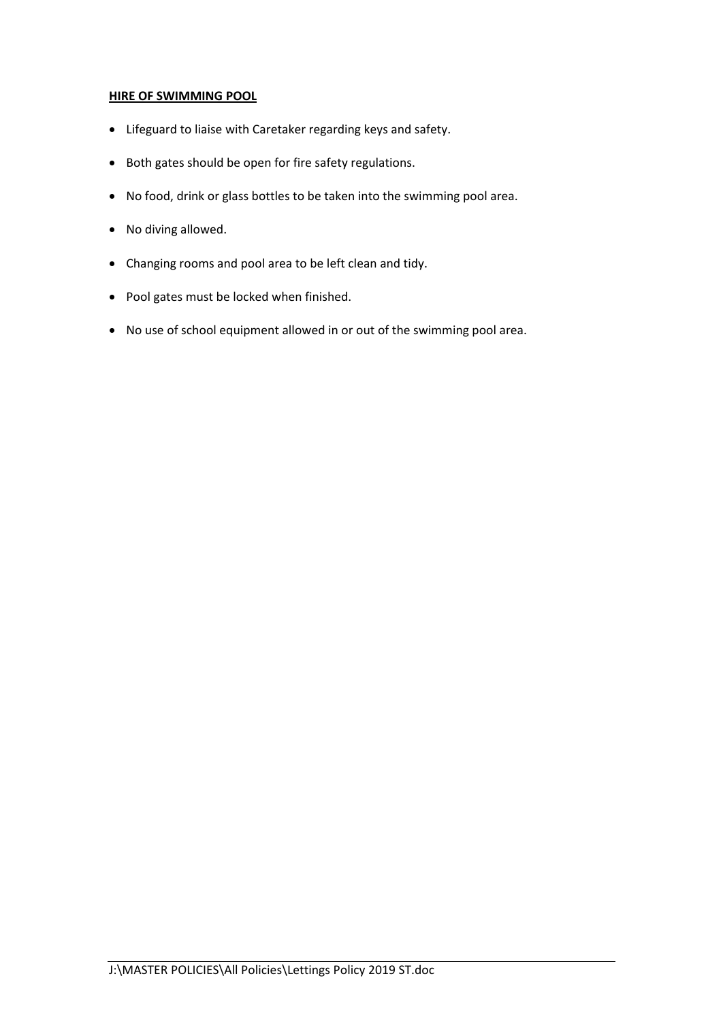# **HIRE OF SWIMMING POOL**

- Lifeguard to liaise with Caretaker regarding keys and safety.
- Both gates should be open for fire safety regulations.
- No food, drink or glass bottles to be taken into the swimming pool area.
- No diving allowed.
- Changing rooms and pool area to be left clean and tidy.
- Pool gates must be locked when finished.
- No use of school equipment allowed in or out of the swimming pool area.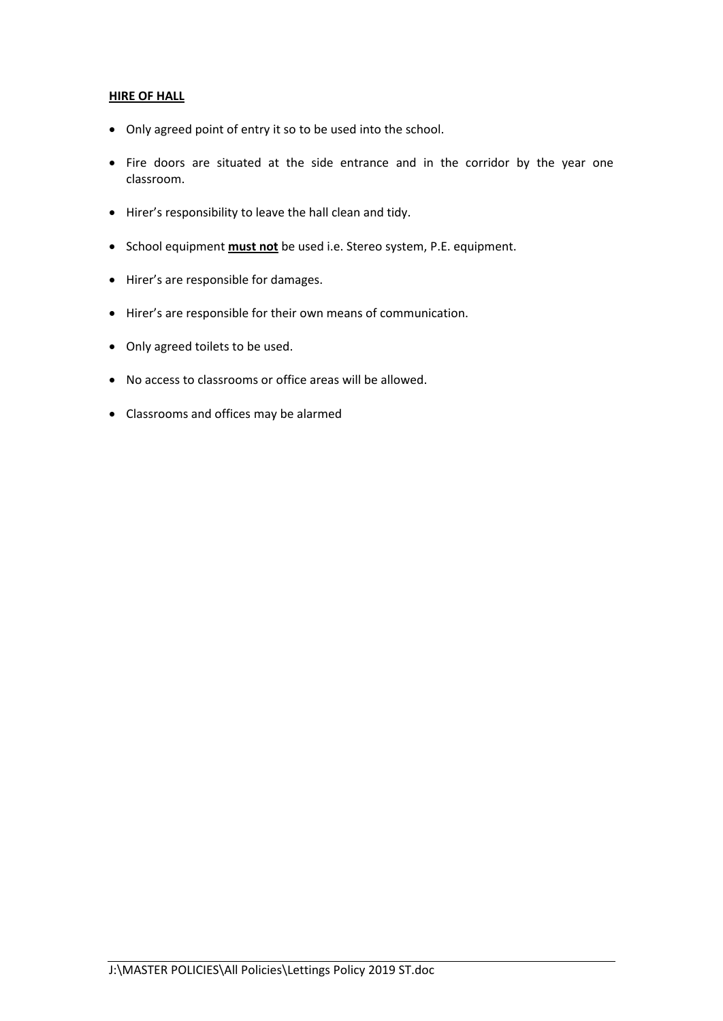### **HIRE OF HALL**

- Only agreed point of entry it so to be used into the school.
- Fire doors are situated at the side entrance and in the corridor by the year one classroom.
- Hirer's responsibility to leave the hall clean and tidy.
- School equipment **must not** be used i.e. Stereo system, P.E. equipment.
- Hirer's are responsible for damages.
- Hirer's are responsible for their own means of communication.
- Only agreed toilets to be used.
- No access to classrooms or office areas will be allowed.
- Classrooms and offices may be alarmed